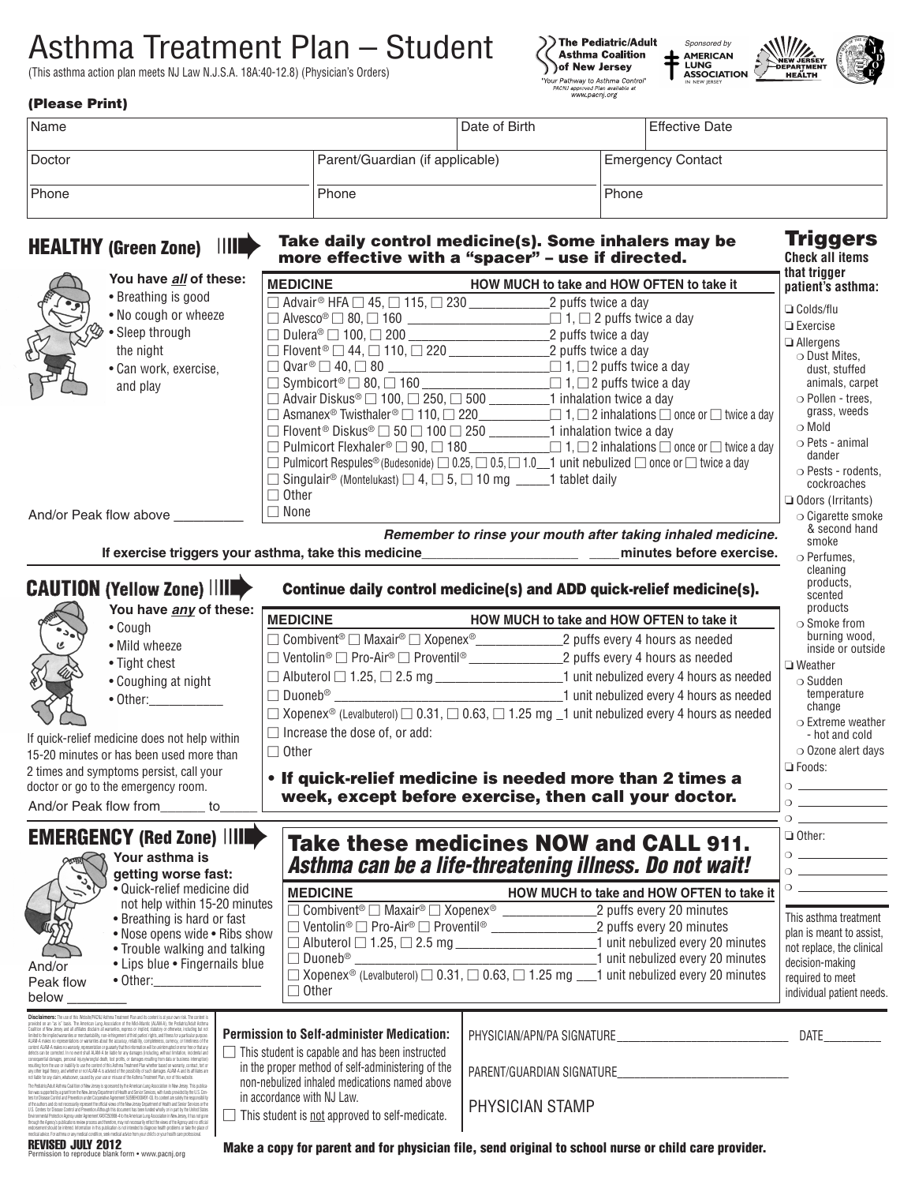# Asthma Treatment Plan – Student

(This asthma action plan meets NJ Law N.J.S.A. 18A:40-12.8) (Physician's Orders)







| <b>HEALTHY (Green Zone)</b> | IIIE | Take daily control medicine(s). Some inhalers may be<br>more effective with a "spacer" - use if directed. |               | <b>Triggers</b><br><b>Check all items</b><br>that trinnar |                          |  |
|-----------------------------|------|-----------------------------------------------------------------------------------------------------------|---------------|-----------------------------------------------------------|--------------------------|--|
| <b>Phone</b>                |      | Phone                                                                                                     |               | Phone                                                     |                          |  |
| Doctor                      |      | Parent/Guardian (if applicable)                                                                           |               |                                                           | <b>Emergency Contact</b> |  |
| Name                        |      |                                                                                                           | Date of Birth |                                                           | Effective Date           |  |

|                                                                                                                                                                                                                                                                                                                                                                                                                                                                                                            | You have all of these:                                                                                                                                                                                                                                                                                                                                             | <b>MEDICINE</b>                                                                                                    | that trigger                                                                                                                               |                                              |  |  |  |  |
|------------------------------------------------------------------------------------------------------------------------------------------------------------------------------------------------------------------------------------------------------------------------------------------------------------------------------------------------------------------------------------------------------------------------------------------------------------------------------------------------------------|--------------------------------------------------------------------------------------------------------------------------------------------------------------------------------------------------------------------------------------------------------------------------------------------------------------------------------------------------------------------|--------------------------------------------------------------------------------------------------------------------|--------------------------------------------------------------------------------------------------------------------------------------------|----------------------------------------------|--|--|--|--|
|                                                                                                                                                                                                                                                                                                                                                                                                                                                                                                            | • Breathing is good                                                                                                                                                                                                                                                                                                                                                | $\Box$ Advair <sup>®</sup> HFA $\Box$ 45, $\Box$ 115, $\Box$ 230 $\Box$ 22 puffs twice a day                       | HOW MUCH to take and HOW OFTEN to take it                                                                                                  | patient's asthma:                            |  |  |  |  |
|                                                                                                                                                                                                                                                                                                                                                                                                                                                                                                            | • No cough or wheeze                                                                                                                                                                                                                                                                                                                                               |                                                                                                                    | $\Box$ Alvesco <sup>®</sup> $\Box$ 80, $\Box$ 160                                                                                          | $\Box$ Colds/flu                             |  |  |  |  |
|                                                                                                                                                                                                                                                                                                                                                                                                                                                                                                            | • Sleep through                                                                                                                                                                                                                                                                                                                                                    |                                                                                                                    |                                                                                                                                            | $\Box$ Exercise                              |  |  |  |  |
|                                                                                                                                                                                                                                                                                                                                                                                                                                                                                                            | the night                                                                                                                                                                                                                                                                                                                                                          |                                                                                                                    |                                                                                                                                            | $\Box$ Allergens                             |  |  |  |  |
|                                                                                                                                                                                                                                                                                                                                                                                                                                                                                                            | · Can work, exercise,                                                                                                                                                                                                                                                                                                                                              |                                                                                                                    |                                                                                                                                            | ○ Dust Mites,<br>dust. stuffed               |  |  |  |  |
|                                                                                                                                                                                                                                                                                                                                                                                                                                                                                                            | and play                                                                                                                                                                                                                                                                                                                                                           |                                                                                                                    | $\Box$ Symbicort <sup>®</sup> $\Box$ 80, $\Box$ 160                                                                                        | animals, carpet                              |  |  |  |  |
|                                                                                                                                                                                                                                                                                                                                                                                                                                                                                                            |                                                                                                                                                                                                                                                                                                                                                                    |                                                                                                                    |                                                                                                                                            | O Pollen - trees.                            |  |  |  |  |
|                                                                                                                                                                                                                                                                                                                                                                                                                                                                                                            |                                                                                                                                                                                                                                                                                                                                                                    |                                                                                                                    |                                                                                                                                            | grass, weeds                                 |  |  |  |  |
|                                                                                                                                                                                                                                                                                                                                                                                                                                                                                                            |                                                                                                                                                                                                                                                                                                                                                                    |                                                                                                                    | $\Box$ Flovent <sup>®</sup> Diskus® $\Box$ 50 $\Box$ 100 $\Box$ 250 ___________________1 inhalation twice a day                            | o Mold                                       |  |  |  |  |
|                                                                                                                                                                                                                                                                                                                                                                                                                                                                                                            |                                                                                                                                                                                                                                                                                                                                                                    |                                                                                                                    | $\Box$ Pulmicort Flexhaler $\degree$ $\Box$ 90, $\Box$ 180 $\Box$ 1, $\Box$ 2 inhalations $\Box$ once or $\Box$ twice a day                | ○ Pets - animal<br>dander                    |  |  |  |  |
|                                                                                                                                                                                                                                                                                                                                                                                                                                                                                                            |                                                                                                                                                                                                                                                                                                                                                                    |                                                                                                                    | $\Box$ Pulmicort Respules® (Budesonide) $\Box$ 0.25, $\Box$ 0.5, $\Box$ 1.0 $\_\_1$ unit nebulized $\Box$ once or $\Box$ twice a day       | ○ Pests - rodents,                           |  |  |  |  |
|                                                                                                                                                                                                                                                                                                                                                                                                                                                                                                            |                                                                                                                                                                                                                                                                                                                                                                    | □ Singulair <sup>®</sup> (Montelukast) $\Box$ 4, $\Box$ 5, $\Box$ 10 mg ______1 tablet daily                       |                                                                                                                                            |                                              |  |  |  |  |
|                                                                                                                                                                                                                                                                                                                                                                                                                                                                                                            |                                                                                                                                                                                                                                                                                                                                                                    | $\Box$ Other                                                                                                       |                                                                                                                                            | $\Box$ Odors (Irritants)                     |  |  |  |  |
|                                                                                                                                                                                                                                                                                                                                                                                                                                                                                                            | And/or Peak flow above                                                                                                                                                                                                                                                                                                                                             | $\Box$ None                                                                                                        | $\circ$ Cigarette smoke                                                                                                                    |                                              |  |  |  |  |
|                                                                                                                                                                                                                                                                                                                                                                                                                                                                                                            |                                                                                                                                                                                                                                                                                                                                                                    |                                                                                                                    | Remember to rinse your mouth after taking inhaled medicine.                                                                                | & second hand                                |  |  |  |  |
|                                                                                                                                                                                                                                                                                                                                                                                                                                                                                                            |                                                                                                                                                                                                                                                                                                                                                                    |                                                                                                                    |                                                                                                                                            | smoke<br>o Perfumes,                         |  |  |  |  |
| If exercise triggers your asthma, take this medicine____________________________ minutes before exercise.                                                                                                                                                                                                                                                                                                                                                                                                  |                                                                                                                                                                                                                                                                                                                                                                    |                                                                                                                    |                                                                                                                                            |                                              |  |  |  |  |
|                                                                                                                                                                                                                                                                                                                                                                                                                                                                                                            | <b>CAUTION (Yellow Zone)      </b>                                                                                                                                                                                                                                                                                                                                 |                                                                                                                    | Continue daily control medicine(s) and ADD quick-relief medicine(s).                                                                       | cleaning<br>products.                        |  |  |  |  |
|                                                                                                                                                                                                                                                                                                                                                                                                                                                                                                            |                                                                                                                                                                                                                                                                                                                                                                    |                                                                                                                    |                                                                                                                                            | scented                                      |  |  |  |  |
| You have any of these:                                                                                                                                                                                                                                                                                                                                                                                                                                                                                     |                                                                                                                                                                                                                                                                                                                                                                    | <b>MEDICINE</b>                                                                                                    | products<br>$\circ$ Smoke from                                                                                                             |                                              |  |  |  |  |
|                                                                                                                                                                                                                                                                                                                                                                                                                                                                                                            | • Cough                                                                                                                                                                                                                                                                                                                                                            |                                                                                                                    | HOW MUCH to take and HOW OFTEN to take it<br>□ Combivent <sup>®</sup> □ Maxair® □ Xopenex®_________________2 puffs every 4 hours as needed | burning wood.                                |  |  |  |  |
|                                                                                                                                                                                                                                                                                                                                                                                                                                                                                                            | • Mild wheeze                                                                                                                                                                                                                                                                                                                                                      |                                                                                                                    |                                                                                                                                            | inside or outside                            |  |  |  |  |
|                                                                                                                                                                                                                                                                                                                                                                                                                                                                                                            | • Tight chest                                                                                                                                                                                                                                                                                                                                                      | $\square$ Ventolin® $\square$ Pro-Air® $\square$ Proventil® _______________________2 puffs every 4 hours as needed |                                                                                                                                            | $\Box$ Weather                               |  |  |  |  |
| • Coughing at night                                                                                                                                                                                                                                                                                                                                                                                                                                                                                        |                                                                                                                                                                                                                                                                                                                                                                    | $\Box$ Albuterol $\Box$ 1.25, $\Box$ 2.5 mg $\_\_\_\_\_\_\_\_\_\_\_\_\_\_1$ unit nebulized every 4 hours as needed | $\circ$ Sudden                                                                                                                             |                                              |  |  |  |  |
|                                                                                                                                                                                                                                                                                                                                                                                                                                                                                                            | • Other:____________                                                                                                                                                                                                                                                                                                                                               |                                                                                                                    |                                                                                                                                            | temperature<br>change                        |  |  |  |  |
|                                                                                                                                                                                                                                                                                                                                                                                                                                                                                                            |                                                                                                                                                                                                                                                                                                                                                                    |                                                                                                                    | $\Box$ Xopenex <sup>®</sup> (Levalbuterol) $\Box$ 0.31, $\Box$ 0.63, $\Box$ 1.25 mg $\Box$ 1 unit nebulized every 4 hours as needed        | $\circ$ Extreme weather                      |  |  |  |  |
|                                                                                                                                                                                                                                                                                                                                                                                                                                                                                                            | If quick-relief medicine does not help within                                                                                                                                                                                                                                                                                                                      | $\Box$ Increase the dose of, or add:                                                                               |                                                                                                                                            | - hot and cold                               |  |  |  |  |
|                                                                                                                                                                                                                                                                                                                                                                                                                                                                                                            | 15-20 minutes or has been used more than                                                                                                                                                                                                                                                                                                                           | $\Box$ Other                                                                                                       |                                                                                                                                            | O Ozone alert days                           |  |  |  |  |
|                                                                                                                                                                                                                                                                                                                                                                                                                                                                                                            | 2 times and symptoms persist, call your                                                                                                                                                                                                                                                                                                                            |                                                                                                                    |                                                                                                                                            | $\Box$ Foods:                                |  |  |  |  |
|                                                                                                                                                                                                                                                                                                                                                                                                                                                                                                            | doctor or go to the emergency room.                                                                                                                                                                                                                                                                                                                                |                                                                                                                    | • If quick-relief medicine is needed more than 2 times a                                                                                   |                                              |  |  |  |  |
| week, except before exercise, then call your doctor.<br>And/or Peak flow from ______ to                                                                                                                                                                                                                                                                                                                                                                                                                    |                                                                                                                                                                                                                                                                                                                                                                    |                                                                                                                    |                                                                                                                                            |                                              |  |  |  |  |
|                                                                                                                                                                                                                                                                                                                                                                                                                                                                                                            |                                                                                                                                                                                                                                                                                                                                                                    |                                                                                                                    |                                                                                                                                            | $\circ$ $\qquad$                             |  |  |  |  |
|                                                                                                                                                                                                                                                                                                                                                                                                                                                                                                            | <b>EMERGENCY (Red Zone)      </b>                                                                                                                                                                                                                                                                                                                                  |                                                                                                                    | <b>Take these medicines NOW and CALL 911.</b>                                                                                              | $\Box$ Other:                                |  |  |  |  |
|                                                                                                                                                                                                                                                                                                                                                                                                                                                                                                            | Your asthma is                                                                                                                                                                                                                                                                                                                                                     |                                                                                                                    |                                                                                                                                            | $\overline{O}$                               |  |  |  |  |
|                                                                                                                                                                                                                                                                                                                                                                                                                                                                                                            | getting worse fast:                                                                                                                                                                                                                                                                                                                                                |                                                                                                                    | Asthma can be a life-threatening illness. Do not wait!                                                                                     |                                              |  |  |  |  |
|                                                                                                                                                                                                                                                                                                                                                                                                                                                                                                            | • Quick-relief medicine did                                                                                                                                                                                                                                                                                                                                        | <b>MEDICINE</b>                                                                                                    | HOW MUCH to take and HOW OFTEN to take it                                                                                                  |                                              |  |  |  |  |
|                                                                                                                                                                                                                                                                                                                                                                                                                                                                                                            | not help within 15-20 minutes                                                                                                                                                                                                                                                                                                                                      |                                                                                                                    | Combivent <sup>®</sup> Naxair® Nopenex <sup>®</sup> Nopenex <sup>®</sup> 2 puffs every 20 minutes                                          |                                              |  |  |  |  |
|                                                                                                                                                                                                                                                                                                                                                                                                                                                                                                            | • Breathing is hard or fast                                                                                                                                                                                                                                                                                                                                        | □ Ventolin <sup>®</sup> □ Pro-Air® □ Proventil® ________________                                                   | _2 puffs every 20 minutes                                                                                                                  | This asthma treatment                        |  |  |  |  |
| ag                                                                                                                                                                                                                                                                                                                                                                                                                                                                                                         | • Nose opens wide • Ribs show                                                                                                                                                                                                                                                                                                                                      |                                                                                                                    |                                                                                                                                            | plan is meant to assist,                     |  |  |  |  |
|                                                                                                                                                                                                                                                                                                                                                                                                                                                                                                            | • Trouble walking and talking                                                                                                                                                                                                                                                                                                                                      | $\Box$ Duoneb <sup>®</sup>                                                                                         | 1 unit nebulized every 20 minutes                                                                                                          | not replace, the clinical<br>decision-making |  |  |  |  |
| And/or                                                                                                                                                                                                                                                                                                                                                                                                                                                                                                     | • Lips blue • Fingernails blue                                                                                                                                                                                                                                                                                                                                     |                                                                                                                    | □ Xopenex <sup>®</sup> (Levalbuterol) □ 0.31, □ 0.63, □ 1.25 mg ___ 1 unit nebulized every 20 minutes                                      | required to meet                             |  |  |  |  |
| Peak flow                                                                                                                                                                                                                                                                                                                                                                                                                                                                                                  | $\bullet$ Other: $\_$                                                                                                                                                                                                                                                                                                                                              | $\Box$ Other                                                                                                       |                                                                                                                                            | individual patient needs.                    |  |  |  |  |
| below                                                                                                                                                                                                                                                                                                                                                                                                                                                                                                      |                                                                                                                                                                                                                                                                                                                                                                    |                                                                                                                    |                                                                                                                                            |                                              |  |  |  |  |
|                                                                                                                                                                                                                                                                                                                                                                                                                                                                                                            | Disclaimers: The use of this Website/PACNJ Asthma Treatment Plan and its content is at your own risk. The content is<br>provided on an "as is" basis. The American Lung Association of the Mid-Atlantic (ALAM-A), the Pediatric/Adult Asthma                                                                                                                       |                                                                                                                    |                                                                                                                                            |                                              |  |  |  |  |
|                                                                                                                                                                                                                                                                                                                                                                                                                                                                                                            | .<br>Coalition of New Jersey and all affiliates disclaim all warrardies, express or implied, statutory or otherwise, including but not<br>limited to the implied warrardies or merchantability, non-infringement of third parties' r<br>ALAM-A makes no representations or warranties about the accuracy, reliability, completeness, currency, or timeliness of th | <b>Permission to Self-administer Medication:</b>                                                                   |                                                                                                                                            |                                              |  |  |  |  |
|                                                                                                                                                                                                                                                                                                                                                                                                                                                                                                            | content. ALAM-A makes no warranty, representation or guaranty that the information will be uninferrupted or error free or that any<br>defects can be corrected. In no event shall ALAM-A be liable for any damages (including, wi<br>consequential damages, personal injury/wronglul death, lost profits, or damages resulting from data or business interruption  | This student is capable and has been instructed                                                                    |                                                                                                                                            |                                              |  |  |  |  |
|                                                                                                                                                                                                                                                                                                                                                                                                                                                                                                            | resulting from the use or inability to use the content of this Asthma Treatment Plan whether based on warranty, contract, but or<br>any other legal theory, and whether or not ALAM-A is advised of the possibility of such damag                                                                                                                                  | in the proper method of self-administering of the                                                                  |                                                                                                                                            |                                              |  |  |  |  |
| not liable for any claim, whatsoever, caused by your use or misuse of the Asthma Treatment Plan, nor of this website.<br>The Pediatric/Adult Asthma Coalition of New Jersey is sponsored by the American Lung Association in New Jersey. This publica                                                                                                                                                                                                                                                      |                                                                                                                                                                                                                                                                                                                                                                    | non-nebulized inhaled medications named above                                                                      |                                                                                                                                            |                                              |  |  |  |  |
| lion was supported by a grant from the New Jersey Department of Health and Service Services, with funds provided by the U.S. Cen-<br>lers for Disease Control and Prevention under Cooperative Agreement 5U59EH000491-03. Its con<br>of the authors and do not necessarily represent the official views of the New Jersey Department of Health and Senior Services or the<br>U.S. Centers for Disease Control and Prevention.Although this document has been funded wholly or in part by the United States |                                                                                                                                                                                                                                                                                                                                                                    | in accordance with NJ Law.                                                                                         | PHYSICIAN STAMP                                                                                                                            |                                              |  |  |  |  |
| Environmental Protection Agency under Agreement XA97250908-4 to the American Lung Association in New Jersey, it has not gone<br>through the Agency's publications review process and therefore, may not necessarily reflect the views of the Agency and no official                                                                                                                                                                                                                                        |                                                                                                                                                                                                                                                                                                                                                                    | This student is not approved to self-medicate.                                                                     |                                                                                                                                            |                                              |  |  |  |  |
| endorsement should be inferred. Information in this publication is not intended to diagnose health problems or take the place of<br>medical advice. For asthma or any medical condition, seek medical advice from your child's or<br><b>REVISED JULY 2012</b>                                                                                                                                                                                                                                              |                                                                                                                                                                                                                                                                                                                                                                    |                                                                                                                    |                                                                                                                                            |                                              |  |  |  |  |
| Make a copy for parent and for physician file, send original to school nurse or child care provider.<br>Permission to reproduce blank form . www.pacnj.org                                                                                                                                                                                                                                                                                                                                                 |                                                                                                                                                                                                                                                                                                                                                                    |                                                                                                                    |                                                                                                                                            |                                              |  |  |  |  |